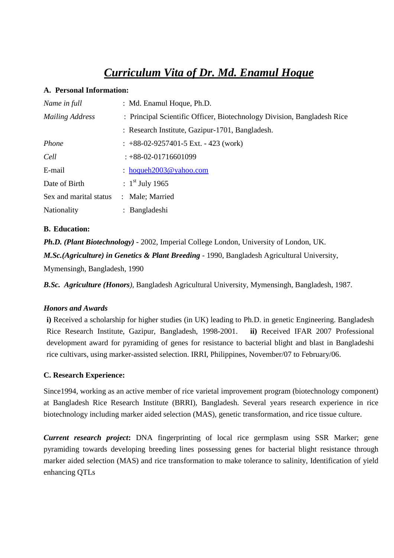# *Curriculum Vita of Dr. Md. Enamul Hoque*

#### **A. Personal Information:**

| Name in full           | : Md. Enamul Hoque, Ph.D.                                               |
|------------------------|-------------------------------------------------------------------------|
| <b>Mailing Address</b> | : Principal Scientific Officer, Biotechnology Division, Bangladesh Rice |
|                        | : Research Institute, Gazipur-1701, Bangladesh.                         |
| Phone                  | $\pm$ +88-02-9257401-5 Ext. - 423 (work)                                |
| Cell                   | $: +88-02-01716601099$                                                  |
| E-mail                 | $:$ hoqueh2003@yahoo.com                                                |
| Date of Birth          | : $1^{\text{st}}$ July 1965                                             |
| Sex and marital status | : Male; Married                                                         |
| Nationality            | : Bangladeshi                                                           |

## **B. Education:**

*Ph.D. (Plant Biotechnology)* - 2002, Imperial College London, University of London, UK.

*M.Sc.(Agriculture) in Genetics & Plant Breeding* - 1990, Bangladesh Agricultural University,

Mymensingh, Bangladesh, 1990

*B.Sc. Agriculture (Honors),* Bangladesh Agricultural University, Mymensingh, Bangladesh, 1987.

### *Honors and Awards*

**i)** Received a scholarship for higher studies (in UK) leading to Ph.D. in genetic Engineering. Bangladesh Rice Research Institute, Gazipur, Bangladesh, 1998-2001. **ii)** Received IFAR 2007 Professional development award for pyramiding of genes for resistance to bacterial blight and blast in Bangladeshi rice cultivars, using marker-assisted selection. IRRI, Philippines, November/07 to February/06.

### **C. Research Experience:**

Since1994, working as an active member of rice varietal improvement program (biotechnology component) at Bangladesh Rice Research Institute (BRRI), Bangladesh. Several years research experience in rice biotechnology including marker aided selection (MAS), genetic transformation, and rice tissue culture.

*Current research project***:** DNA fingerprinting of local rice germplasm using SSR Marker; gene pyramiding towards developing breeding lines possessing genes for bacterial blight resistance through marker aided selection (MAS) and rice transformation to make tolerance to salinity, Identification of yield enhancing QTLs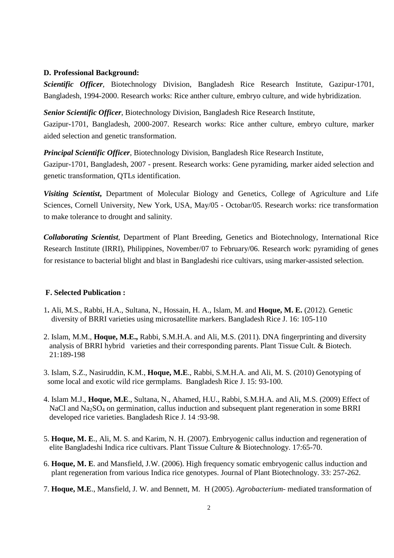#### **D. Professional Background:**

*Scientific Officer*, Biotechnology Division, Bangladesh Rice Research Institute, Gazipur-1701, Bangladesh, 1994-2000. Research works: Rice anther culture, embryo culture, and wide hybridization.

*Senior Scientific Officer*, Biotechnology Division, Bangladesh Rice Research Institute, Gazipur-1701, Bangladesh, 2000-2007. Research works: Rice anther culture, embryo culture, marker aided selection and genetic transformation.

*Principal Scientific Officer*, Biotechnology Division, Bangladesh Rice Research Institute,

Gazipur-1701, Bangladesh, 2007 - present. Research works: Gene pyramiding, marker aided selection and genetic transformation, QTLs identification.

*Visiting Scientist***,** Department of Molecular Biology and Genetics, College of Agriculture and Life Sciences, Cornell University, New York, USA, May/05 - Octobar/05. Research works: rice transformation to make tolerance to drought and salinity.

*Collaborating Scientist*, Department of Plant Breeding, Genetics and Biotechnology, International Rice Research Institute (IRRI), Philippines, November/07 to February/06. Research work: pyramiding of genes for resistance to bacterial blight and blast in Bangladeshi rice cultivars, using marker-assisted selection.

#### **F. Selected Publication :**

- 1**.** Ali, M.S., Rabbi, H.A., Sultana, N., Hossain, H. A., Islam, M. and **Hoque, M. E.** (2012). Genetic diversity of BRRI varieties using microsatellite markers. Bangladesh Rice J. 16: 105-110
- 2. Islam, M.M., **Hoque, M.E.,** Rabbi, S.M.H.A. and Ali, M.S. (2011). DNA fingerprinting and diversity analysis of BRRI hybrid varieties and their corresponding parents. Plant Tissue Cult. & Biotech. 21:189-198
- 3. Islam, S.Z., Nasiruddin, K.M., **Hoque, M.E**., Rabbi, S.M.H.A. and Ali, M. S. (2010) Genotyping of some local and exotic wild rice germplams. Bangladesh Rice J. 15: 93-100.
- 4. Islam M.J., **Hoque, M.E**., Sultana, N., Ahamed, H.U., Rabbi, S.M.H.A. and Ali, M.S. (2009) Effect of NaCl and Na<sub>2</sub>SO<sub>4</sub> on germination, callus induction and subsequent plant regeneration in some BRRI developed rice varieties. Bangladesh Rice J. 14 :93-98.
- 5. **Hoque, M. E**., Ali, M. S. and Karim, N. H. (2007). Embryogenic callus induction and regeneration of elite Bangladeshi Indica rice cultivars. Plant Tissue Culture & Biotechnology. 17:65-70.
- 6. **Hoque, M. E**. and Mansfield, J.W. (2006). High frequency somatic embryogenic callus induction and plant regeneration from various Indica rice genotypes. Journal of Plant Biotechnology. 33: 257-262.
- 7. **Hoque, M.E**., Mansfield, J. W. and Bennett, M. H (2005). *Agrobacterium* mediated transformation of